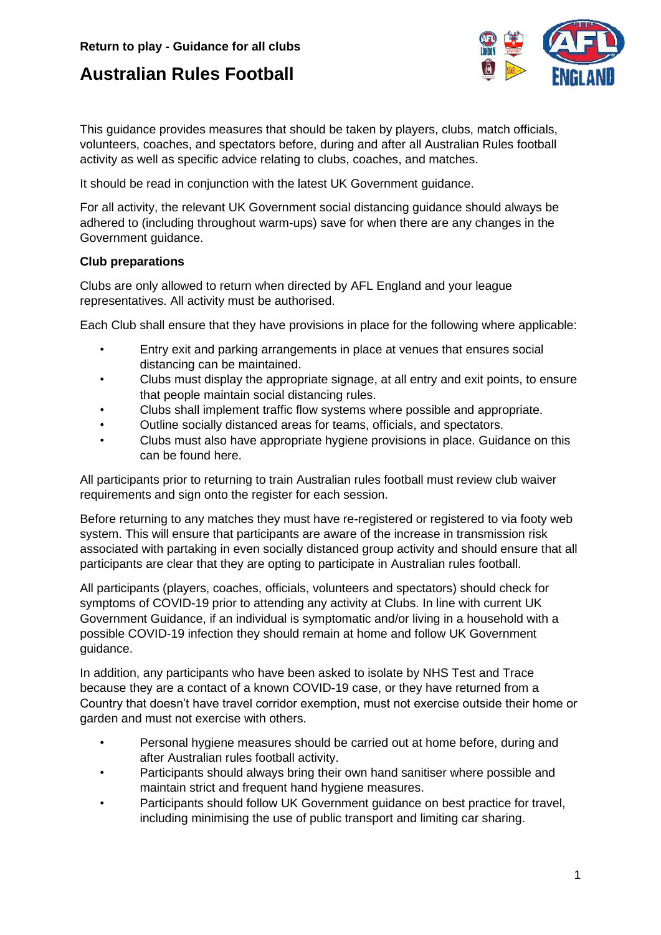

This guidance provides measures that should be taken by players, clubs, match officials, volunteers, coaches, and spectators before, during and after all Australian Rules football activity as well as specific advice relating to clubs, coaches, and matches.

It should be read in conjunction with the latest UK Government guidance.

For all activity, the relevant UK Government social distancing guidance should always be adhered to (including throughout warm-ups) save for when there are any changes in the Government guidance.

#### **Club preparations**

Clubs are only allowed to return when directed by AFL England and your league representatives. All activity must be authorised.

Each Club shall ensure that they have provisions in place for the following where applicable:

- Entry exit and parking arrangements in place at venues that ensures social distancing can be maintained.
- Clubs must display the appropriate signage, at all entry and exit points, to ensure that people maintain social distancing rules.
- Clubs shall implement traffic flow systems where possible and appropriate.
- Outline socially distanced areas for teams, officials, and spectators.
- Clubs must also have appropriate hygiene provisions in place. Guidance on this can be found here.

All participants prior to returning to train Australian rules football must review club waiver requirements and sign onto the register for each session.

Before returning to any matches they must have re-registered or registered to via footy web system. This will ensure that participants are aware of the increase in transmission risk associated with partaking in even socially distanced group activity and should ensure that all participants are clear that they are opting to participate in Australian rules football.

All participants (players, coaches, officials, volunteers and spectators) should check for symptoms of COVID-19 prior to attending any activity at Clubs. In line with current UK Government Guidance, if an individual is symptomatic and/or living in a household with a possible COVID-19 infection they should remain at home and follow UK Government guidance.

In addition, any participants who have been asked to isolate by NHS Test and Trace because they are a contact of a known COVID-19 case, or they have returned from a Country that doesn't have travel corridor exemption, must not exercise outside their home or garden and must not exercise with others.

- Personal hygiene measures should be carried out at home before, during and after Australian rules football activity.
- Participants should always bring their own hand sanitiser where possible and maintain strict and frequent hand hygiene measures.
- Participants should follow UK Government guidance on best practice for travel, including minimising the use of public transport and limiting car sharing.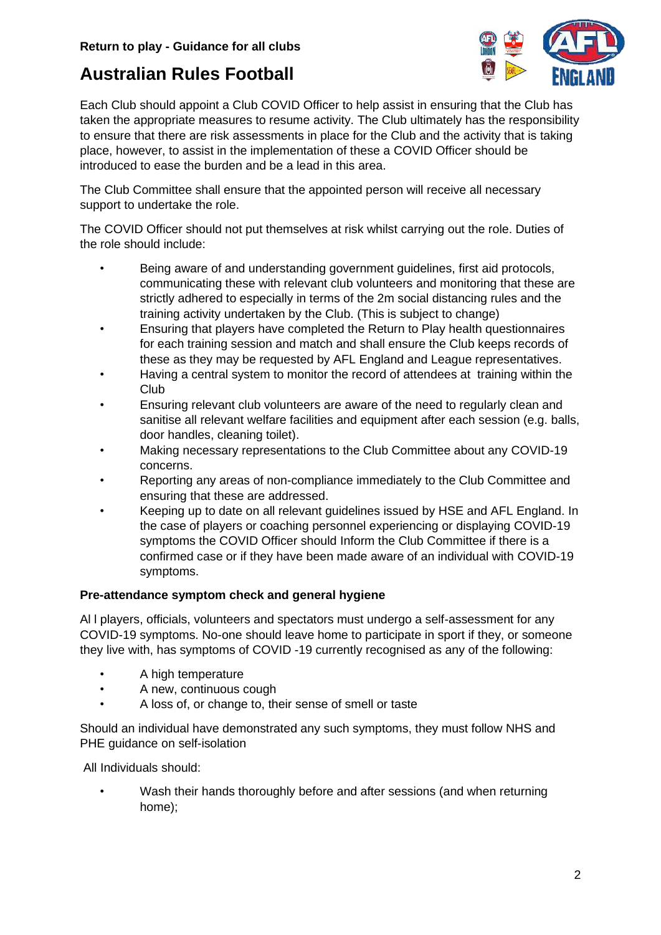

Each Club should appoint a Club COVID Officer to help assist in ensuring that the Club has taken the appropriate measures to resume activity. The Club ultimately has the responsibility to ensure that there are risk assessments in place for the Club and the activity that is taking place, however, to assist in the implementation of these a COVID Officer should be introduced to ease the burden and be a lead in this area.

The Club Committee shall ensure that the appointed person will receive all necessary support to undertake the role.

The COVID Officer should not put themselves at risk whilst carrying out the role. Duties of the role should include:

- Being aware of and understanding government guidelines, first aid protocols, communicating these with relevant club volunteers and monitoring that these are strictly adhered to especially in terms of the 2m social distancing rules and the training activity undertaken by the Club. (This is subject to change)
- Ensuring that players have completed the Return to Play health questionnaires for each training session and match and shall ensure the Club keeps records of these as they may be requested by AFL England and League representatives.
- Having a central system to monitor the record of attendees at training within the Club
- Ensuring relevant club volunteers are aware of the need to regularly clean and sanitise all relevant welfare facilities and equipment after each session (e.g. balls, door handles, cleaning toilet).
- Making necessary representations to the Club Committee about any COVID-19 concerns.
- Reporting any areas of non-compliance immediately to the Club Committee and ensuring that these are addressed.
- Keeping up to date on all relevant guidelines issued by HSE and AFL England. In the case of players or coaching personnel experiencing or displaying COVID-19 symptoms the COVID Officer should Inform the Club Committee if there is a confirmed case or if they have been made aware of an individual with COVID-19 symptoms.

## **Pre-attendance symptom check and general hygiene**

Al l players, officials, volunteers and spectators must undergo a self-assessment for any COVID-19 symptoms. No-one should leave home to participate in sport if they, or someone they live with, has symptoms of COVID -19 currently recognised as any of the following:

- A high temperature
- A new, continuous cough
- A loss of, or change to, their sense of smell or taste

Should an individual have demonstrated any such symptoms, they must follow NHS and PHE guidance on self-isolation

All Individuals should:

• Wash their hands thoroughly before and after sessions (and when returning home);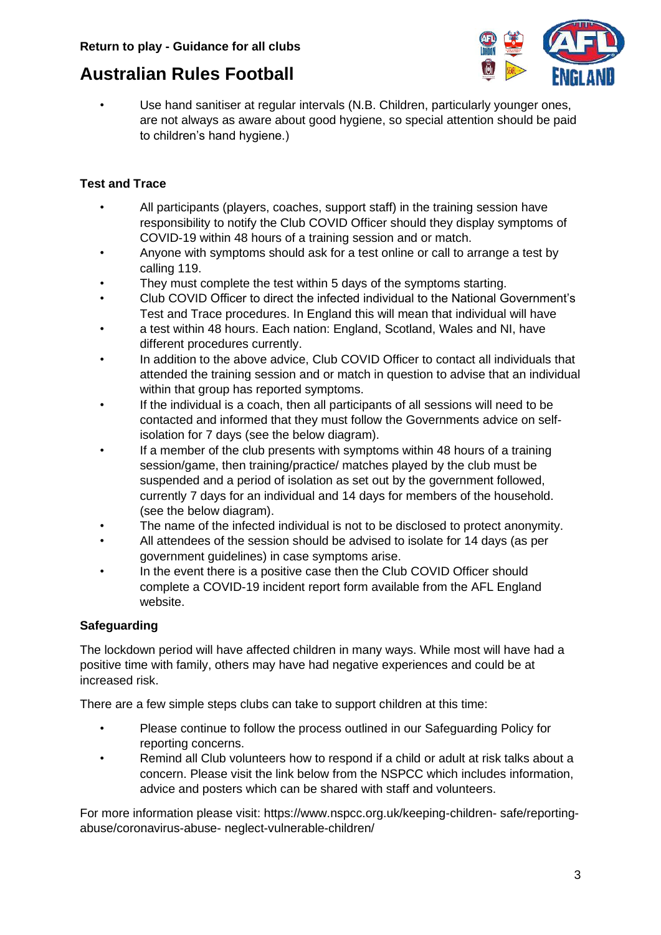

Use hand sanitiser at regular intervals (N.B. Children, particularly younger ones, are not always as aware about good hygiene, so special attention should be paid to children's hand hygiene.)

## **Test and Trace**

- All participants (players, coaches, support staff) in the training session have responsibility to notify the Club COVID Officer should they display symptoms of COVID-19 within 48 hours of a training session and or match.
- Anyone with symptoms should ask for a test online or call to arrange a test by calling 119.
- They must complete the test within 5 days of the symptoms starting.
- Club COVID Officer to direct the infected individual to the National Government's Test and Trace procedures. In England this will mean that individual will have
- a test within 48 hours. Each nation: England, Scotland, Wales and NI, have different procedures currently.
- In addition to the above advice, Club COVID Officer to contact all individuals that attended the training session and or match in question to advise that an individual within that group has reported symptoms.
- If the individual is a coach, then all participants of all sessions will need to be contacted and informed that they must follow the Governments advice on selfisolation for 7 days (see the below diagram).
- If a member of the club presents with symptoms within 48 hours of a training session/game, then training/practice/ matches played by the club must be suspended and a period of isolation as set out by the government followed, currently 7 days for an individual and 14 days for members of the household. (see the below diagram).
- The name of the infected individual is not to be disclosed to protect anonymity.
- All attendees of the session should be advised to isolate for 14 days (as per government guidelines) in case symptoms arise.
- In the event there is a positive case then the Club COVID Officer should complete a COVID-19 incident report form available from the AFL England website.

## **Safeguarding**

The lockdown period will have affected children in many ways. While most will have had a positive time with family, others may have had negative experiences and could be at increased risk.

There are a few simple steps clubs can take to support children at this time:

- Please continue to follow the process outlined in our Safeguarding Policy for reporting concerns.
- Remind all Club volunteers how to respond if a child or adult at risk talks about a concern. Please visit the link below from the NSPCC which includes information, advice and posters which can be shared with staff and volunteers.

For more information please visit: https://www.nspcc.org.uk/keeping-children- safe/reportingabuse/coronavirus-abuse- neglect-vulnerable-children/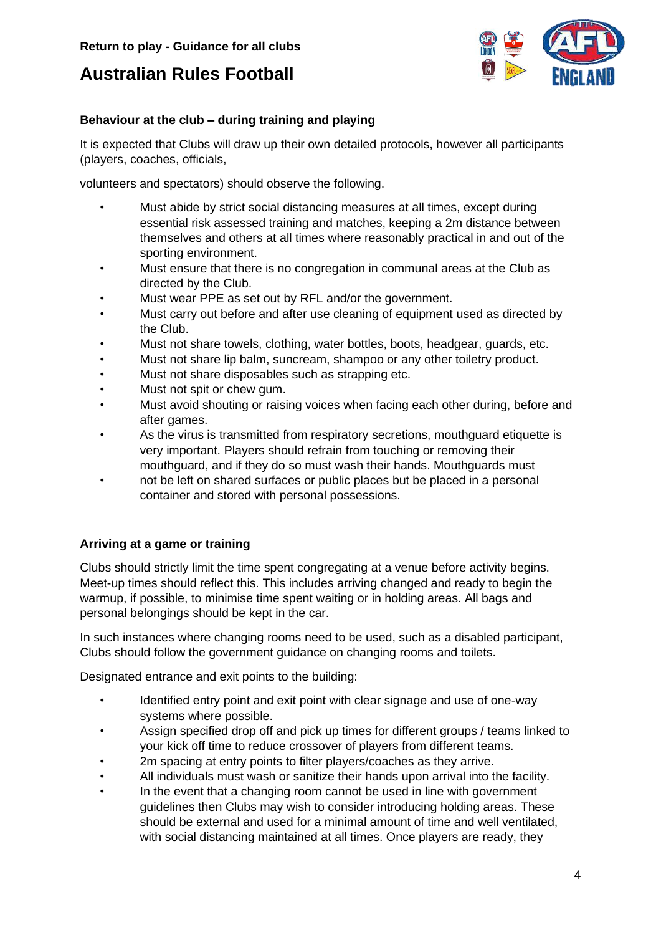

## **Behaviour at the club – during training and playing**

It is expected that Clubs will draw up their own detailed protocols, however all participants (players, coaches, officials,

volunteers and spectators) should observe the following.

- Must abide by strict social distancing measures at all times, except during essential risk assessed training and matches, keeping a 2m distance between themselves and others at all times where reasonably practical in and out of the sporting environment.
- Must ensure that there is no congregation in communal areas at the Club as directed by the Club.
- Must wear PPE as set out by RFL and/or the government.
- Must carry out before and after use cleaning of equipment used as directed by the Club.
- Must not share towels, clothing, water bottles, boots, headgear, guards, etc.
- Must not share lip balm, suncream, shampoo or any other toiletry product.
- Must not share disposables such as strapping etc.
- Must not spit or chew gum.
- Must avoid shouting or raising voices when facing each other during, before and after games.
- As the virus is transmitted from respiratory secretions, mouthguard etiquette is very important. Players should refrain from touching or removing their mouthguard, and if they do so must wash their hands. Mouthguards must
- not be left on shared surfaces or public places but be placed in a personal container and stored with personal possessions.

## **Arriving at a game or training**

Clubs should strictly limit the time spent congregating at a venue before activity begins. Meet-up times should reflect this. This includes arriving changed and ready to begin the warmup, if possible, to minimise time spent waiting or in holding areas. All bags and personal belongings should be kept in the car.

In such instances where changing rooms need to be used, such as a disabled participant, Clubs should follow the government guidance on changing rooms and toilets.

Designated entrance and exit points to the building:

- Identified entry point and exit point with clear signage and use of one-way systems where possible.
- Assign specified drop off and pick up times for different groups / teams linked to your kick off time to reduce crossover of players from different teams.
- 2m spacing at entry points to filter players/coaches as they arrive.
- All individuals must wash or sanitize their hands upon arrival into the facility.
- In the event that a changing room cannot be used in line with government guidelines then Clubs may wish to consider introducing holding areas. These should be external and used for a minimal amount of time and well ventilated, with social distancing maintained at all times. Once players are ready, they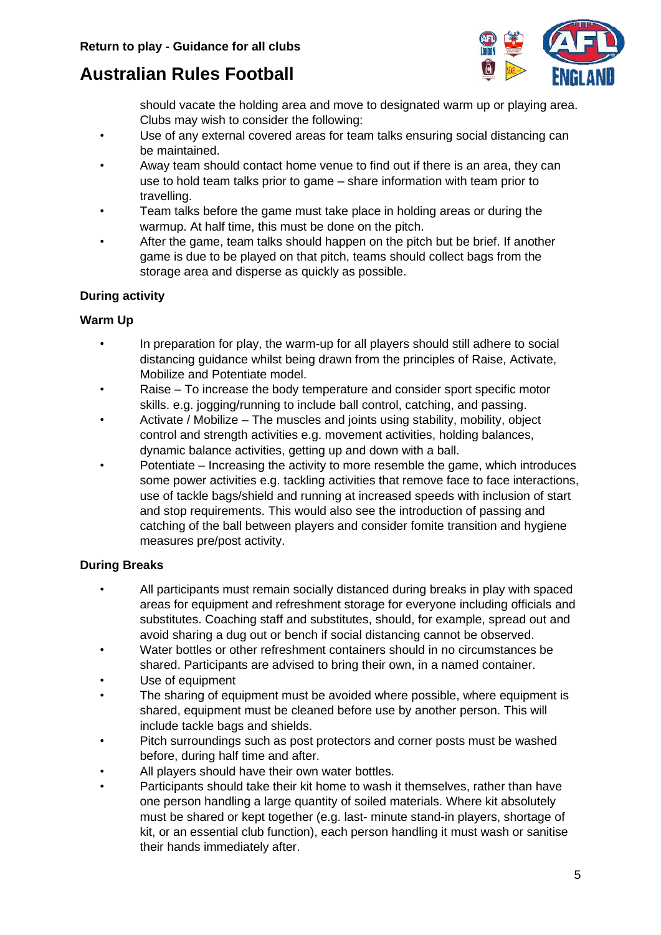

should vacate the holding area and move to designated warm up or playing area. Clubs may wish to consider the following:

- Use of any external covered areas for team talks ensuring social distancing can be maintained.
- Away team should contact home venue to find out if there is an area, they can use to hold team talks prior to game – share information with team prior to travelling.
- Team talks before the game must take place in holding areas or during the warmup. At half time, this must be done on the pitch.
- After the game, team talks should happen on the pitch but be brief. If another game is due to be played on that pitch, teams should collect bags from the storage area and disperse as quickly as possible.

## **During activity**

#### **Warm Up**

- In preparation for play, the warm-up for all players should still adhere to social distancing guidance whilst being drawn from the principles of Raise, Activate, Mobilize and Potentiate model.
- Raise To increase the body temperature and consider sport specific motor skills. e.g. jogging/running to include ball control, catching, and passing.
- Activate / Mobilize The muscles and joints using stability, mobility, object control and strength activities e.g. movement activities, holding balances, dynamic balance activities, getting up and down with a ball.
- Potentiate Increasing the activity to more resemble the game, which introduces some power activities e.g. tackling activities that remove face to face interactions, use of tackle bags/shield and running at increased speeds with inclusion of start and stop requirements. This would also see the introduction of passing and catching of the ball between players and consider fomite transition and hygiene measures pre/post activity.

## **During Breaks**

- All participants must remain socially distanced during breaks in play with spaced areas for equipment and refreshment storage for everyone including officials and substitutes. Coaching staff and substitutes, should, for example, spread out and avoid sharing a dug out or bench if social distancing cannot be observed.
- Water bottles or other refreshment containers should in no circumstances be shared. Participants are advised to bring their own, in a named container.
- Use of equipment
- The sharing of equipment must be avoided where possible, where equipment is shared, equipment must be cleaned before use by another person. This will include tackle bags and shields.
- Pitch surroundings such as post protectors and corner posts must be washed before, during half time and after.
- All players should have their own water bottles.
- Participants should take their kit home to wash it themselves, rather than have one person handling a large quantity of soiled materials. Where kit absolutely must be shared or kept together (e.g. last- minute stand-in players, shortage of kit, or an essential club function), each person handling it must wash or sanitise their hands immediately after.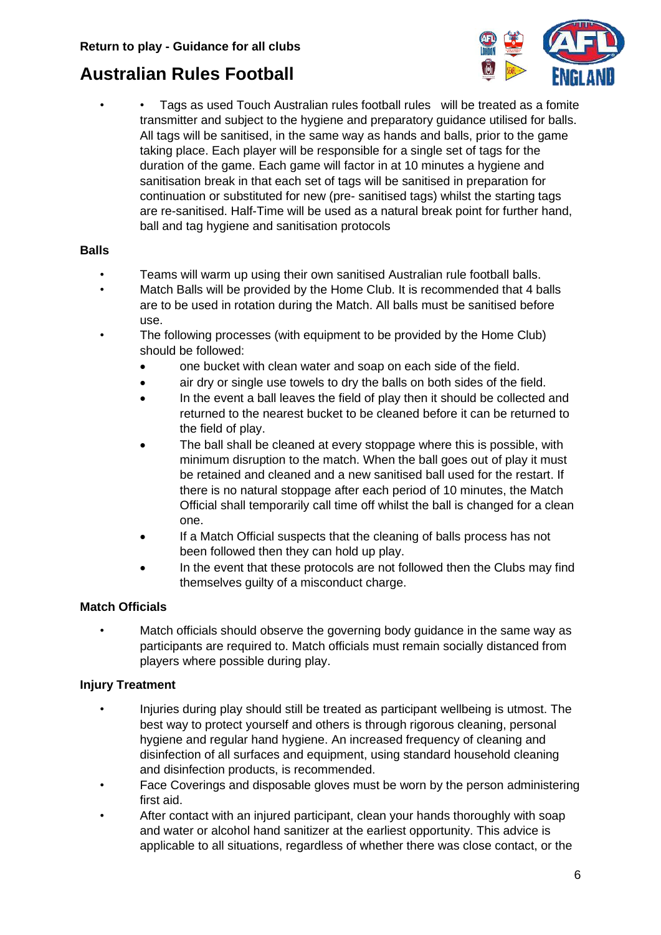

• • Tags as used Touch Australian rules football rules will be treated as a fomite transmitter and subject to the hygiene and preparatory guidance utilised for balls. All tags will be sanitised, in the same way as hands and balls, prior to the game taking place. Each player will be responsible for a single set of tags for the duration of the game. Each game will factor in at 10 minutes a hygiene and sanitisation break in that each set of tags will be sanitised in preparation for continuation or substituted for new (pre- sanitised tags) whilst the starting tags are re-sanitised. Half-Time will be used as a natural break point for further hand, ball and tag hygiene and sanitisation protocols

#### **Balls**

- Teams will warm up using their own sanitised Australian rule football balls.
- Match Balls will be provided by the Home Club. It is recommended that 4 balls are to be used in rotation during the Match. All balls must be sanitised before use.
- The following processes (with equipment to be provided by the Home Club) should be followed:
	- one bucket with clean water and soap on each side of the field.
	- air dry or single use towels to dry the balls on both sides of the field.
	- In the event a ball leaves the field of play then it should be collected and returned to the nearest bucket to be cleaned before it can be returned to the field of play.
	- The ball shall be cleaned at every stoppage where this is possible, with minimum disruption to the match. When the ball goes out of play it must be retained and cleaned and a new sanitised ball used for the restart. If there is no natural stoppage after each period of 10 minutes, the Match Official shall temporarily call time off whilst the ball is changed for a clean one.
	- If a Match Official suspects that the cleaning of balls process has not been followed then they can hold up play.
	- In the event that these protocols are not followed then the Clubs may find themselves guilty of a misconduct charge.

#### **Match Officials**

• Match officials should observe the governing body guidance in the same way as participants are required to. Match officials must remain socially distanced from players where possible during play.

#### **Injury Treatment**

- Injuries during play should still be treated as participant wellbeing is utmost. The best way to protect yourself and others is through rigorous cleaning, personal hygiene and regular hand hygiene. An increased frequency of cleaning and disinfection of all surfaces and equipment, using standard household cleaning and disinfection products, is recommended.
- Face Coverings and disposable gloves must be worn by the person administering first aid.
- After contact with an injured participant, clean your hands thoroughly with soap and water or alcohol hand sanitizer at the earliest opportunity. This advice is applicable to all situations, regardless of whether there was close contact, or the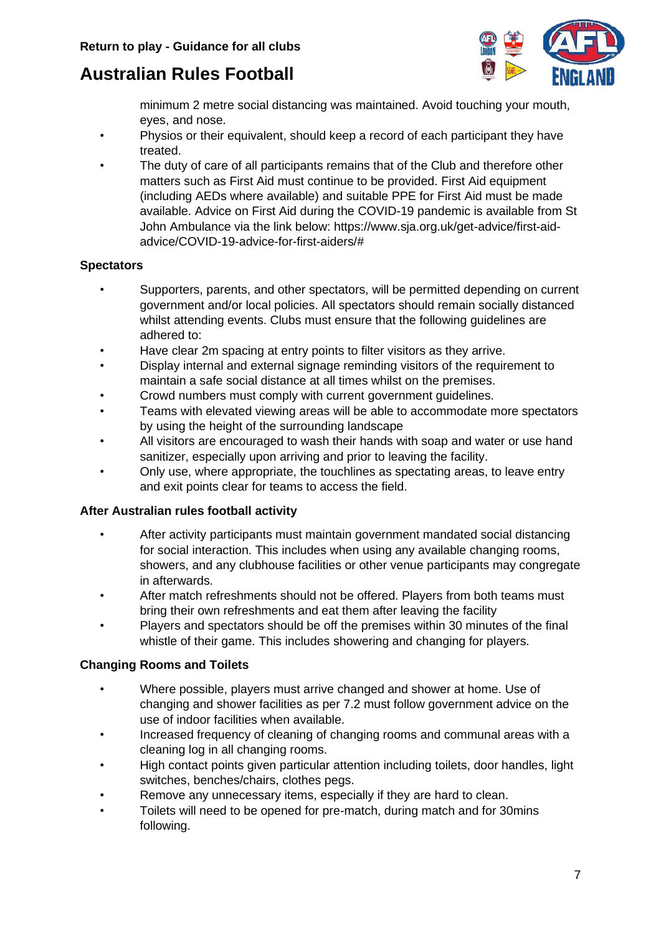

minimum 2 metre social distancing was maintained. Avoid touching your mouth, eyes, and nose.

- Physios or their equivalent, should keep a record of each participant they have treated.
- The duty of care of all participants remains that of the Club and therefore other matters such as First Aid must continue to be provided. First Aid equipment (including AEDs where available) and suitable PPE for First Aid must be made available. Advice on First Aid during the COVID-19 pandemic is available from St John Ambulance via the link below: https://www.sja.org.uk/get-advice/first-aidadvice/COVID-19-advice-for-first-aiders/#

## **Spectators**

- Supporters, parents, and other spectators, will be permitted depending on current government and/or local policies. All spectators should remain socially distanced whilst attending events. Clubs must ensure that the following guidelines are adhered to:
- Have clear 2m spacing at entry points to filter visitors as they arrive.
- Display internal and external signage reminding visitors of the requirement to maintain a safe social distance at all times whilst on the premises.
- Crowd numbers must comply with current government guidelines.
- Teams with elevated viewing areas will be able to accommodate more spectators by using the height of the surrounding landscape
- All visitors are encouraged to wash their hands with soap and water or use hand sanitizer, especially upon arriving and prior to leaving the facility.
- Only use, where appropriate, the touchlines as spectating areas, to leave entry and exit points clear for teams to access the field.

#### **After Australian rules football activity**

- After activity participants must maintain government mandated social distancing for social interaction. This includes when using any available changing rooms, showers, and any clubhouse facilities or other venue participants may congregate in afterwards.
- After match refreshments should not be offered. Players from both teams must bring their own refreshments and eat them after leaving the facility
- Players and spectators should be off the premises within 30 minutes of the final whistle of their game. This includes showering and changing for players.

#### **Changing Rooms and Toilets**

- Where possible, players must arrive changed and shower at home. Use of changing and shower facilities as per 7.2 must follow government advice on the use of indoor facilities when available.
- Increased frequency of cleaning of changing rooms and communal areas with a cleaning log in all changing rooms.
- High contact points given particular attention including toilets, door handles, light switches, benches/chairs, clothes pegs.
- Remove any unnecessary items, especially if they are hard to clean.
- Toilets will need to be opened for pre-match, during match and for 30mins following.